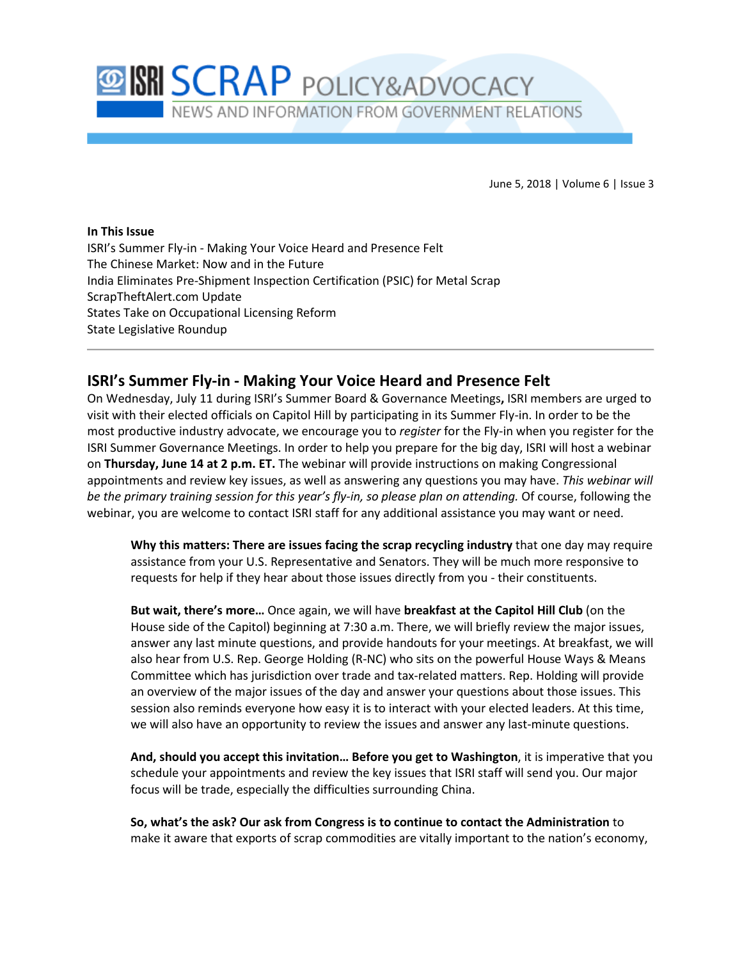

June 5, 2018 | Volume 6 | Issue 3

#### **In This Issue**

ISRI's Summer Fly-in - Making Your Voice Heard and Presence Felt The Chinese Market: Now and in the Future India Eliminates Pre-Shipment Inspection Certification (PSIC) for Metal Scrap ScrapTheftAlert.com Update States Take on Occupational Licensing Reform State Legislative Roundup

### **ISRI's Summer Fly-in - Making Your Voice Heard and Presence Felt**

On Wednesday, July 11 during ISRI's Summer Board & Governance Meetings**,** ISRI members are urged to visit with their elected officials on Capitol Hill by participating in its Summer Fly-in. In order to be the most productive industry advocate, we encourage you to *register* for the Fly-in when you register for the ISRI Summer Governance Meetings. In order to help you prepare for the big day, ISRI will host a webinar on **Thursday, June 14 at 2 p.m. ET.** The webinar will provide instructions on making Congressional appointments and review key issues, as well as answering any questions you may have. *This webinar will be the primary training session for this year's fly-in, so please plan on attending.* Of course, following the webinar, you are welcome to contact ISRI staff for any additional assistance you may want or need.

**Why this matters: There are issues facing the scrap recycling industry** that one day may require assistance from your U.S. Representative and Senators. They will be much more responsive to requests for help if they hear about those issues directly from you - their constituents.

**But wait, there's more…** Once again, we will have **breakfast at the Capitol Hill Club** (on the House side of the Capitol) beginning at 7:30 a.m. There, we will briefly review the major issues, answer any last minute questions, and provide handouts for your meetings. At breakfast, we will also hear from U.S. Rep. George Holding (R-NC) who sits on the powerful House Ways & Means Committee which has jurisdiction over trade and tax-related matters. Rep. Holding will provide an overview of the major issues of the day and answer your questions about those issues. This session also reminds everyone how easy it is to interact with your elected leaders. At this time, we will also have an opportunity to review the issues and answer any last-minute questions.

**And, should you accept this invitation… Before you get to Washington**, it is imperative that you schedule your appointments and review the key issues that ISRI staff will send you. Our major focus will be trade, especially the difficulties surrounding China.

**So, what's the ask? Our ask from Congress is to continue to contact the Administration** to make it aware that exports of scrap commodities are vitally important to the nation's economy,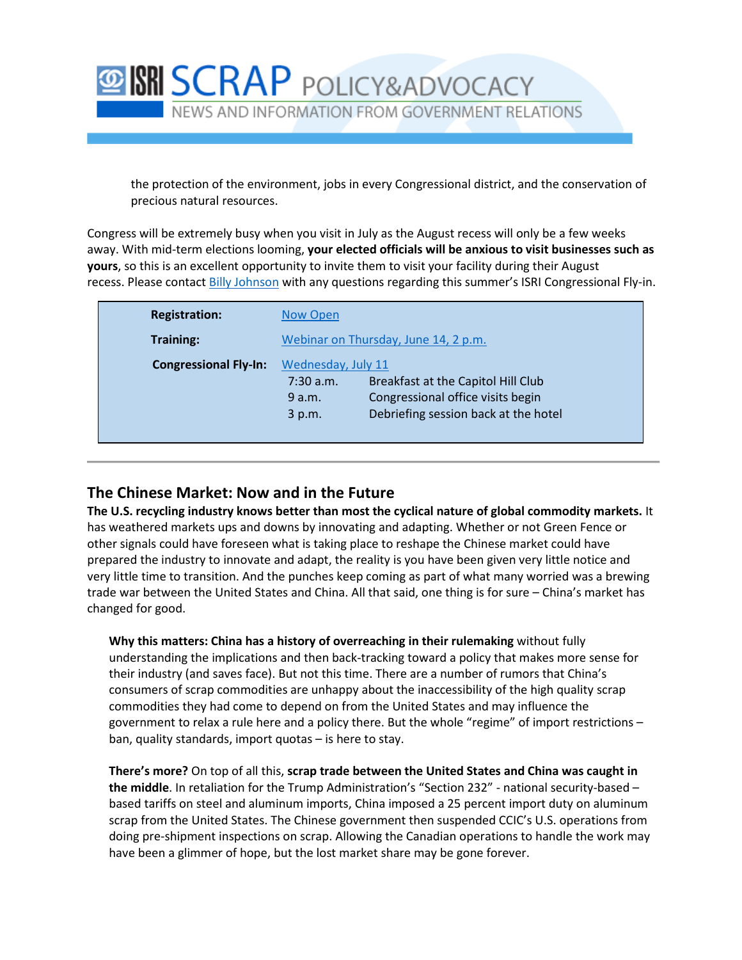

the protection of the environment, jobs in every Congressional district, and the conservation of precious natural resources.

Congress will be extremely busy when you visit in July as the August recess will only be a few weeks away. With mid-term elections looming, **your elected officials will be anxious to visit businesses such as yours**, so this is an excellent opportunity to invite them to visit your facility during their August recess. Please contact **Billy Johnson** with any questions regarding this summer's ISRI Congressional Fly-in.

| <b>Registration:</b>         | <b>Now Open</b>                                       |                                                                                                                 |
|------------------------------|-------------------------------------------------------|-----------------------------------------------------------------------------------------------------------------|
| <b>Training:</b>             | Webinar on Thursday, June 14, 2 p.m.                  |                                                                                                                 |
| <b>Congressional Fly-In:</b> | Wednesday, July 11<br>$7:30$ a.m.<br>9 a.m.<br>3 p.m. | Breakfast at the Capitol Hill Club<br>Congressional office visits begin<br>Debriefing session back at the hotel |

# **The Chinese Market: Now and in the Future**

**The U.S. recycling industry knows better than most the cyclical nature of global commodity markets.** It has weathered markets ups and downs by innovating and adapting. Whether or not Green Fence or other signals could have foreseen what is taking place to reshape the Chinese market could have prepared the industry to innovate and adapt, the reality is you have been given very little notice and very little time to transition. And the punches keep coming as part of what many worried was a brewing trade war between the United States and China. All that said, one thing is for sure – China's market has changed for good.

**Why this matters: China has a history of overreaching in their rulemaking** without fully understanding the implications and then back-tracking toward a policy that makes more sense for their industry (and saves face). But not this time. There are a number of rumors that China's consumers of scrap commodities are unhappy about the inaccessibility of the high quality scrap commodities they had come to depend on from the United States and may influence the government to relax a rule here and a policy there. But the whole "regime" of import restrictions – ban, quality standards, import quotas – is here to stay.

**There's more?** On top of all this, **scrap trade between the United States and China was caught in the middle**. In retaliation for the Trump Administration's "Section 232" - national security-based – based tariffs on steel and aluminum imports, China imposed a 25 percent import duty on aluminum scrap from the United States. The Chinese government then suspended CCIC's U.S. operations from doing pre-shipment inspections on scrap. Allowing the Canadian operations to handle the work may have been a glimmer of hope, but the lost market share may be gone forever.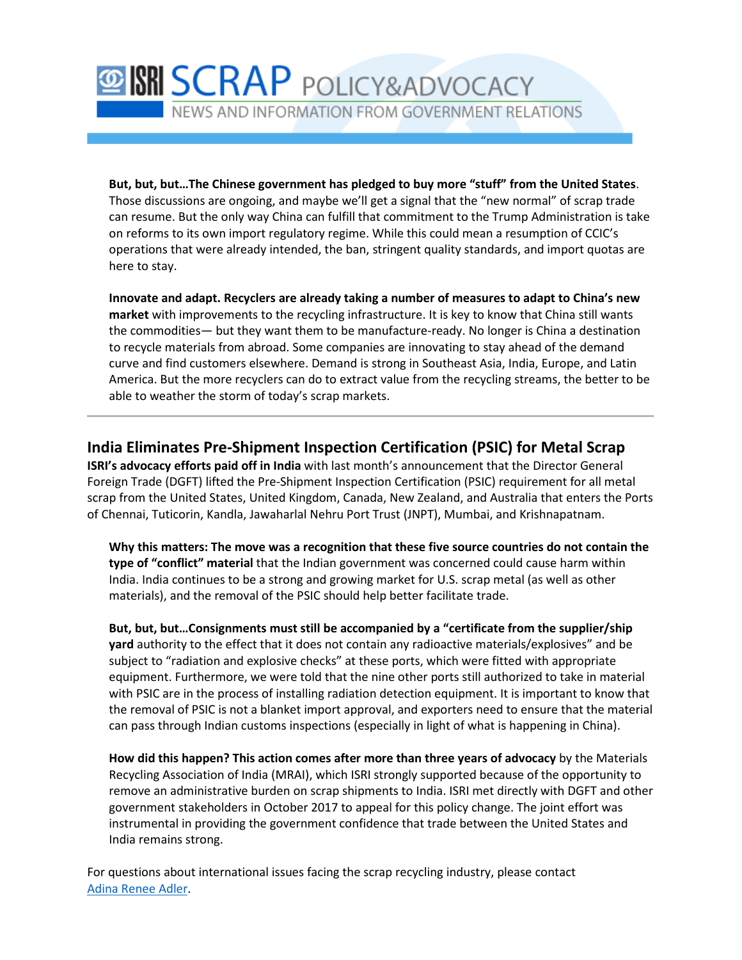

**But, but, but…The Chinese government has pledged to buy more "stuff" from the United States**. Those discussions are ongoing, and maybe we'll get a signal that the "new normal" of scrap trade can resume. But the only way China can fulfill that commitment to the Trump Administration is take on reforms to its own import regulatory regime. While this could mean a resumption of CCIC's operations that were already intended, the ban, stringent quality standards, and import quotas are here to stay.

**Innovate and adapt. Recyclers are already taking a number of measures to adapt to China's new market** with improvements to the recycling infrastructure. It is key to know that China still wants the commodities— but they want them to be manufacture-ready. No longer is China a destination to recycle materials from abroad. Some companies are innovating to stay ahead of the demand curve and find customers elsewhere. Demand is strong in Southeast Asia, India, Europe, and Latin America. But the more recyclers can do to extract value from the recycling streams, the better to be able to weather the storm of today's scrap markets.

# **India Eliminates Pre-Shipment Inspection Certification (PSIC) for Metal Scrap**

**ISRI's advocacy efforts paid off in India** with last month's announcement that the Director General Foreign Trade (DGFT) lifted the Pre-Shipment Inspection Certification (PSIC) requirement for all metal scrap from the United States, United Kingdom, Canada, New Zealand, and Australia that enters the Ports of Chennai, Tuticorin, Kandla, Jawaharlal Nehru Port Trust (JNPT), Mumbai, and Krishnapatnam.

**Why this matters: The move was a recognition that these five source countries do not contain the type of "conflict" material** that the Indian government was concerned could cause harm within India. India continues to be a strong and growing market for U.S. scrap metal (as well as other materials), and the removal of the PSIC should help better facilitate trade.

**But, but, but…Consignments must still be accompanied by a "certificate from the supplier/ship yard** authority to the effect that it does not contain any radioactive materials/explosives" and be subject to "radiation and explosive checks" at these ports, which were fitted with appropriate equipment. Furthermore, we were told that the nine other ports still authorized to take in material with PSIC are in the process of installing radiation detection equipment. It is important to know that the removal of PSIC is not a blanket import approval, and exporters need to ensure that the material can pass through Indian customs inspections (especially in light of what is happening in China).

**How did this happen? This action comes after more than three years of advocacy** by the Materials Recycling Association of India (MRAI), which ISRI strongly supported because of the opportunity to remove an administrative burden on scrap shipments to India. ISRI met directly with DGFT and other government stakeholders in October 2017 to appeal for this policy change. The joint effort was instrumental in providing the government confidence that trade between the United States and India remains strong.

For questions about international issues facing the scrap recycling industry, please contact [Adina Renee Adler.](mailto:aadler@isri.org)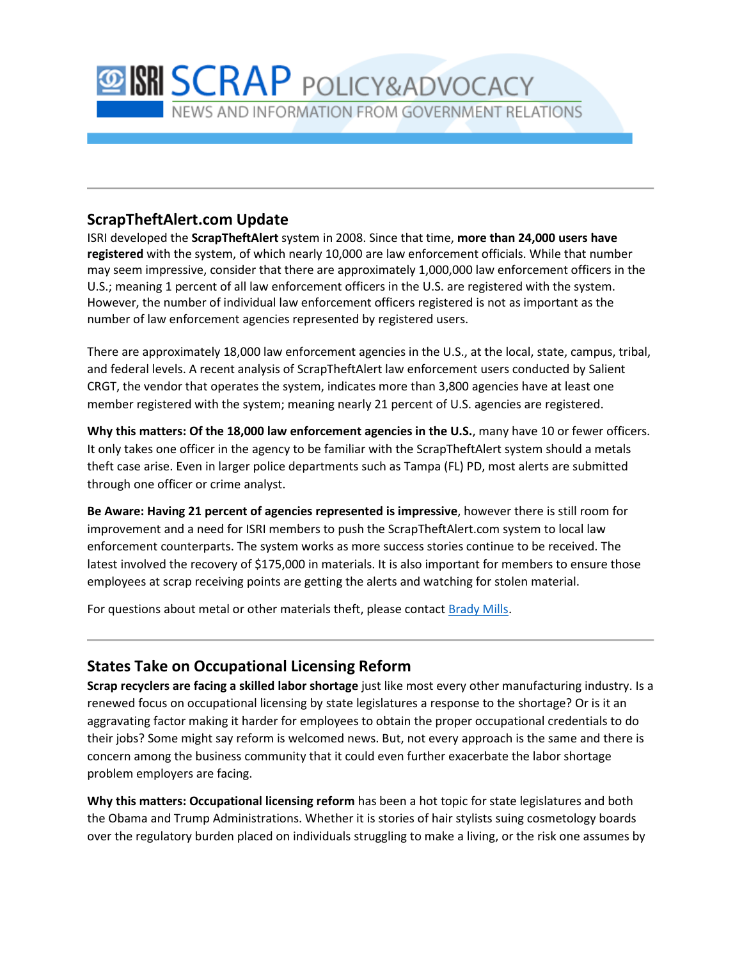

### **ScrapTheftAlert.com Update**

ISRI developed the **ScrapTheftAlert** system in 2008. Since that time, **more than 24,000 users have registered** with the system, of which nearly 10,000 are law enforcement officials. While that number may seem impressive, consider that there are approximately 1,000,000 law enforcement officers in the U.S.; meaning 1 percent of all law enforcement officers in the U.S. are registered with the system. However, the number of individual law enforcement officers registered is not as important as the number of law enforcement agencies represented by registered users.

There are approximately 18,000 law enforcement agencies in the U.S., at the local, state, campus, tribal, and federal levels. A recent analysis of ScrapTheftAlert law enforcement users conducted by Salient CRGT, the vendor that operates the system, indicates more than 3,800 agencies have at least one member registered with the system; meaning nearly 21 percent of U.S. agencies are registered.

**Why this matters: Of the 18,000 law enforcement agencies in the U.S.**, many have 10 or fewer officers. It only takes one officer in the agency to be familiar with the ScrapTheftAlert system should a metals theft case arise. Even in larger police departments such as Tampa (FL) PD, most alerts are submitted through one officer or crime analyst.

**Be Aware: Having 21 percent of agencies represented is impressive**, however there is still room for improvement and a need for ISRI members to push the ScrapTheftAlert.com system to local law enforcement counterparts. The system works as more success stories continue to be received. The latest involved the recovery of \$175,000 in materials. It is also important for members to ensure those employees at scrap receiving points are getting the alerts and watching for stolen material.

For questions about metal or other materials theft, please contact [Brady Mills.](mailto:BMills@isri.org)

# **States Take on Occupational Licensing Reform**

**Scrap recyclers are facing a skilled labor shortage** just like most every other manufacturing industry. Is a renewed focus on occupational licensing by state legislatures a response to the shortage? Or is it an aggravating factor making it harder for employees to obtain the proper occupational credentials to do their jobs? Some might say reform is welcomed news. But, not every approach is the same and there is concern among the business community that it could even further exacerbate the labor shortage problem employers are facing.

**Why this matters: Occupational licensing reform** has been a hot topic for state legislatures and both the Obama and Trump Administrations. Whether it is stories of hair stylists suing cosmetology boards over the regulatory burden placed on individuals struggling to make a living, or the risk one assumes by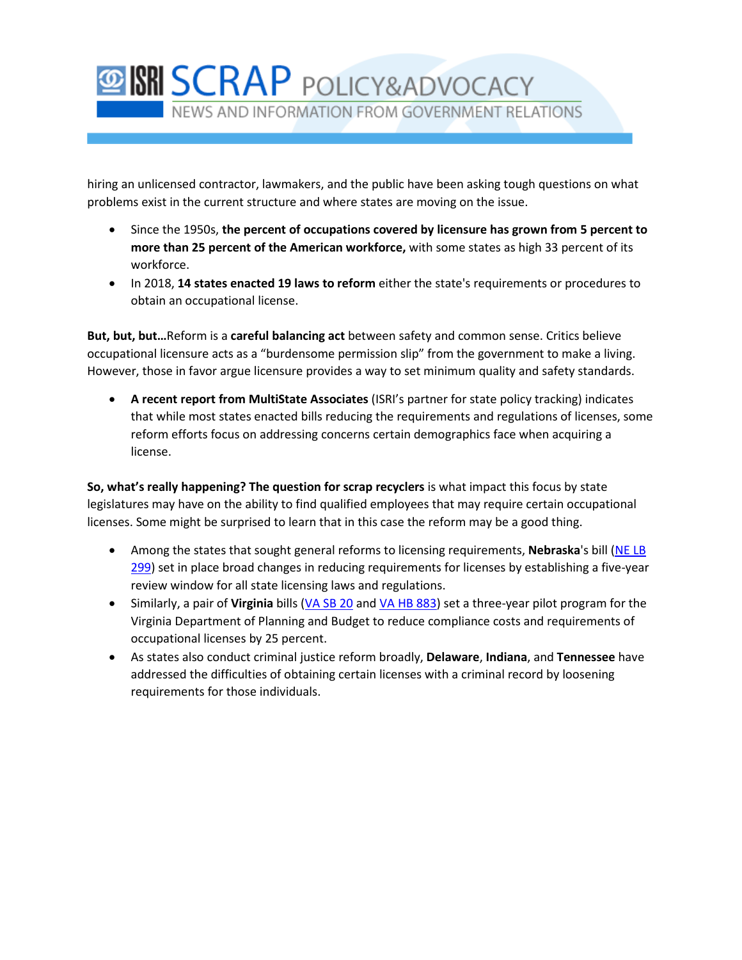

hiring an unlicensed contractor, lawmakers, and the public have been asking tough questions on what problems exist in the current structure and where states are moving on the issue.

- Since the 1950s, **the percent of occupations covered by licensure has grown from 5 percent to more than 25 percent of the American workforce,** with some states as high 33 percent of its workforce.
- In 2018, **14 states enacted 19 laws to reform** either the state's requirements or procedures to obtain an occupational license.

**But, but, but…**Reform is a **careful balancing act** between safety and common sense. Critics believe occupational licensure acts as a "burdensome permission slip" from the government to make a living. However, those in favor argue licensure provides a way to set minimum quality and safety standards.

• **A recent report from MultiState Associates** (ISRI's partner for state policy tracking) indicates that while most states enacted bills reducing the requirements and regulations of licenses, some reform efforts focus on addressing concerns certain demographics face when acquiring a license.

**So, what's really happening? The question for scrap recyclers** is what impact this focus by state legislatures may have on the ability to find qualified employees that may require certain occupational licenses. Some might be surprised to learn that in this case the reform may be a good thing.

- Among the states that sought general reforms to licensing requirements, **Nebraska**'s bill (NE LB [299\)](https://statechamberconnect.us3.list-manage.com/track/click?u=257b87f3cab13043c0c4a826b&id=56cee396d5&e=5567911c18) set in place broad changes in reducing requirements for licenses by establishing a five-year review window for all state licensing laws and regulations.
- Similarly, a pair of **Virginia** bills [\(VA SB 20](https://statechamberconnect.us3.list-manage.com/track/click?u=257b87f3cab13043c0c4a826b&id=ac3140430b&e=5567911c18) and [VA HB 883\)](https://statechamberconnect.us3.list-manage.com/track/click?u=257b87f3cab13043c0c4a826b&id=ed4afb7b2c&e=5567911c18) set a three-year pilot program for the Virginia Department of Planning and Budget to reduce compliance costs and requirements of occupational licenses by 25 percent.
- As states also conduct criminal justice reform broadly, **Delaware**, **Indiana**, and **Tennessee** have addressed the difficulties of obtaining certain licenses with a criminal record by loosening requirements for those individuals.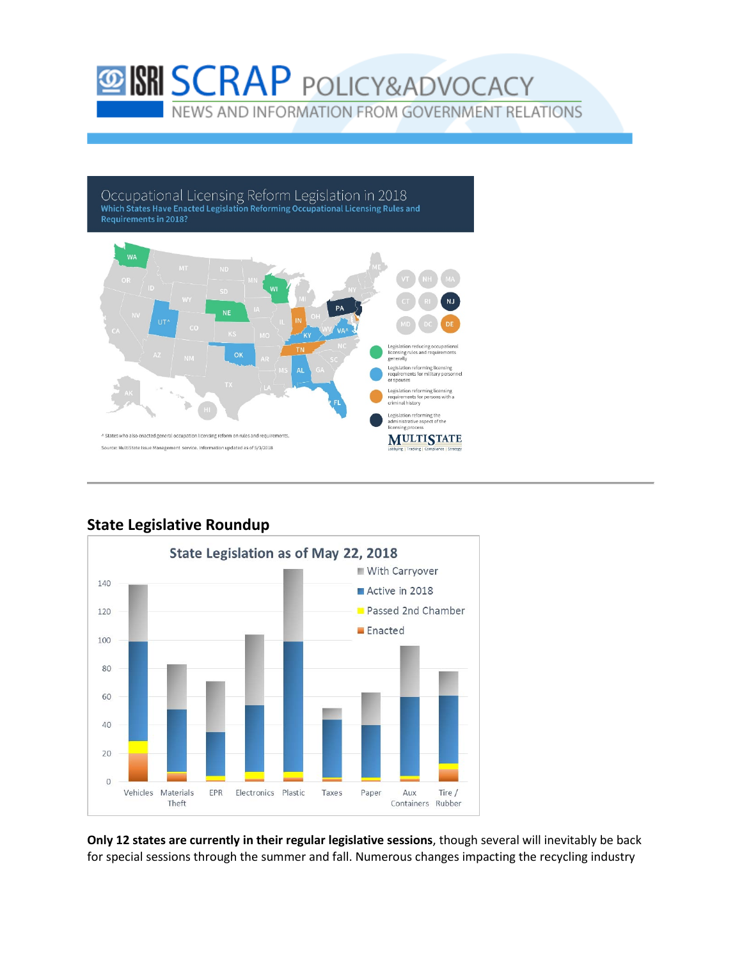

Occupational Licensing Reform Legislation in 2018 Which States Have Enacted Legislation Reforming Occupational Licensing Rules and Requirements in 2018?





**State Legislative Roundup**

**Only 12 states are currently in their regular legislative sessions**, though several will inevitably be back for special sessions through the summer and fall. Numerous changes impacting the recycling industry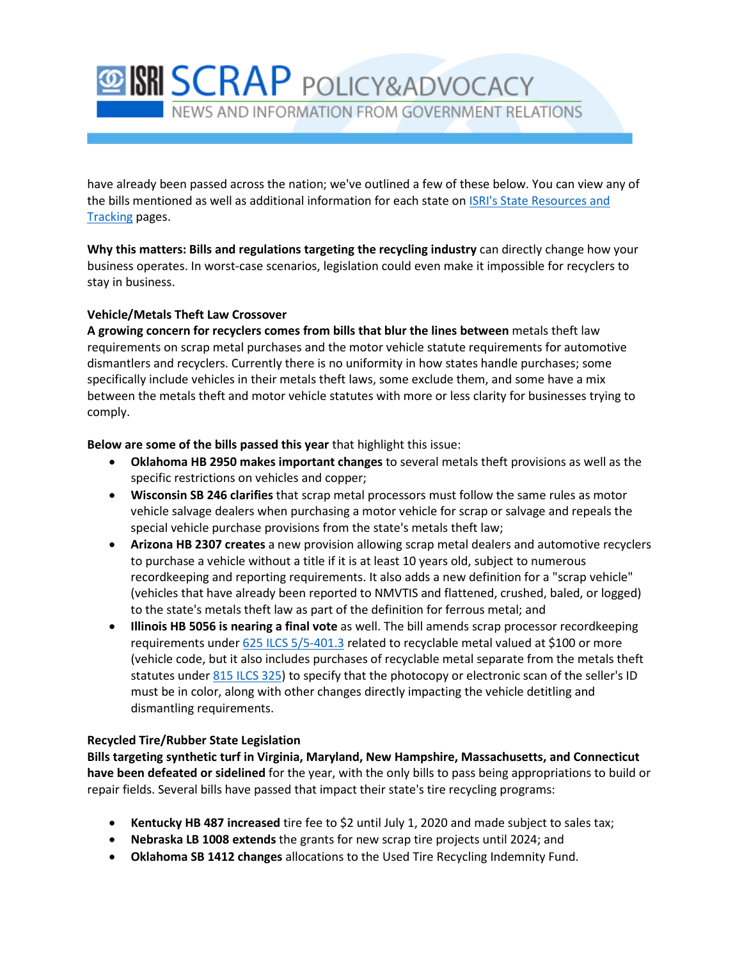

have already been passed across the nation; we've outlined a few of these below. You can view any of the bills mentioned as well as additional information for each state on [ISRI's State Resources and](http://www.isri.org/advocacy-compliance/state-policies/state-resources-tracking)  [Tracking](http://www.isri.org/advocacy-compliance/state-policies/state-resources-tracking) pages.

**Why this matters: Bills and regulations targeting the recycling industry** can directly change how your business operates. In worst-case scenarios, legislation could even make it impossible for recyclers to stay in business.

#### **Vehicle/Metals Theft Law Crossover**

**A growing concern for recyclers comes from bills that blur the lines between** metals theft law requirements on scrap metal purchases and the motor vehicle statute requirements for automotive dismantlers and recyclers. Currently there is no uniformity in how states handle purchases; some specifically include vehicles in their metals theft laws, some exclude them, and some have a mix between the metals theft and motor vehicle statutes with more or less clarity for businesses trying to comply.

**Below are some of the bills passed this year** that highlight this issue:

- **Oklahoma HB 2950 makes important changes** to several metals theft provisions as well as the specific restrictions on vehicles and copper;
- **Wisconsin SB 246 clarifies** that scrap metal processors must follow the same rules as motor vehicle salvage dealers when purchasing a motor vehicle for scrap or salvage and repeals the special vehicle purchase provisions from the state's metals theft law;
- **Arizona HB 2307 creates** a new provision allowing scrap metal dealers and automotive recyclers to purchase a vehicle without a title if it is at least 10 years old, subject to numerous recordkeeping and reporting requirements. It also adds a new definition for a "scrap vehicle" (vehicles that have already been reported to NMVTIS and flattened, crushed, baled, or logged) to the state's metals theft law as part of the definition for ferrous metal; and
- **Illinois HB 5056 is nearing a final vote** as well. The bill amends scrap processor recordkeeping requirements under [625 ILCS 5/5-401.3](http://www.ilga.gov/legislation/ilcs/ilcs4.asp?DocName=062500050HCh%2E+5+Art%2E+IV&ActID=1815&ChapterID=49&SeqStart=76100000&SeqEnd=77000000) related to recyclable metal valued at \$100 or more (vehicle code, but it also includes purchases of recyclable metal separate from the metals theft statutes under [815 ILCS 325\)](http://www.ilga.gov/legislation/ilcs/ilcs3.asp?ActID=2330&ChapterID=67) to specify that the photocopy or electronic scan of the seller's ID must be in color, along with other changes directly impacting the vehicle detitling and dismantling requirements.

#### **Recycled Tire/Rubber State Legislation**

**Bills targeting synthetic turf in Virginia, Maryland, New Hampshire, Massachusetts, and Connecticut have been defeated or sidelined** for the year, with the only bills to pass being appropriations to build or repair fields. Several bills have passed that impact their state's tire recycling programs:

- **Kentucky HB 487 increased** tire fee to \$2 until July 1, 2020 and made subject to sales tax;
- **Nebraska LB 1008 extends** the grants for new scrap tire projects until 2024; and
- **Oklahoma SB 1412 changes** allocations to the Used Tire Recycling Indemnity Fund.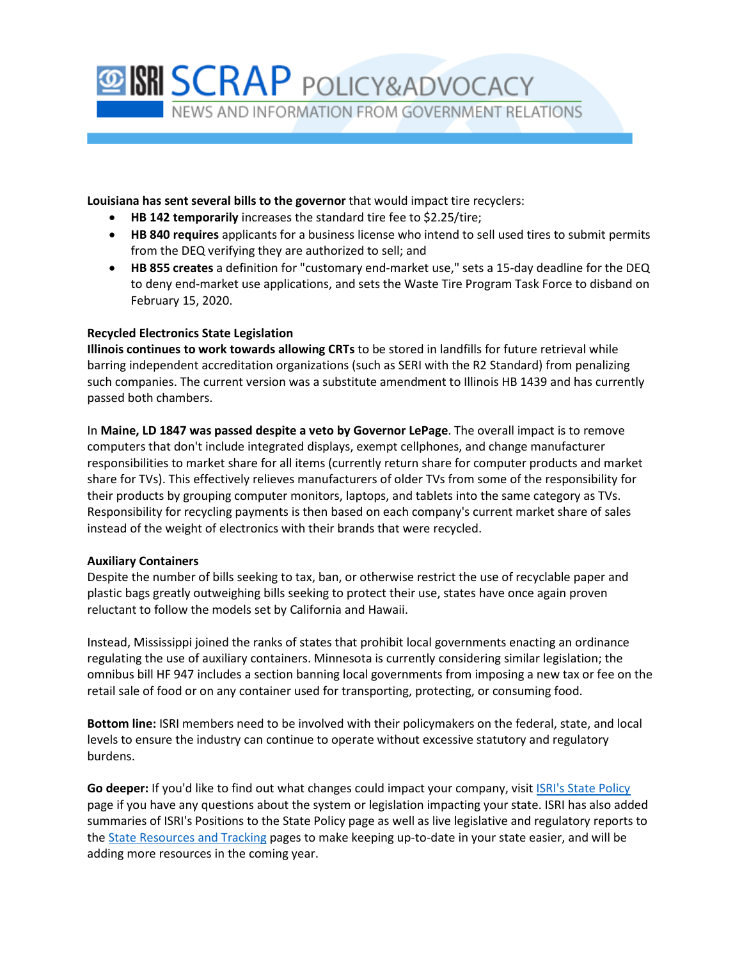

**Louisiana has sent several bills to the governor** that would impact tire recyclers:

- **HB 142 temporarily** increases the standard tire fee to \$2.25/tire;
- **HB 840 requires** applicants for a business license who intend to sell used tires to submit permits from the DEQ verifying they are authorized to sell; and
- **HB 855 creates** a definition for "customary end-market use," sets a 15-day deadline for the DEQ to deny end-market use applications, and sets the Waste Tire Program Task Force to disband on February 15, 2020.

### **Recycled Electronics State Legislation**

**Illinois continues to work towards allowing CRTs** to be stored in landfills for future retrieval while barring independent accreditation organizations (such as SERI with the R2 Standard) from penalizing such companies. The current version was a substitute amendment to Illinois HB 1439 and has currently passed both chambers.

In **Maine, LD 1847 was passed despite a veto by Governor LePage**. The overall impact is to remove computers that don't include integrated displays, exempt cellphones, and change manufacturer responsibilities to market share for all items (currently return share for computer products and market share for TVs). This effectively relieves manufacturers of older TVs from some of the responsibility for their products by grouping computer monitors, laptops, and tablets into the same category as TVs. Responsibility for recycling payments is then based on each company's current market share of sales instead of the weight of electronics with their brands that were recycled.

#### **Auxiliary Containers**

Despite the number of bills seeking to tax, ban, or otherwise restrict the use of recyclable paper and plastic bags greatly outweighing bills seeking to protect their use, states have once again proven reluctant to follow the models set by California and Hawaii.

Instead, Mississippi joined the ranks of states that prohibit local governments enacting an ordinance regulating the use of auxiliary containers. Minnesota is currently considering similar legislation; the omnibus bill HF 947 includes a section banning local governments from imposing a new tax or fee on the retail sale of food or on any container used for transporting, protecting, or consuming food.

**Bottom line:** ISRI members need to be involved with their policymakers on the federal, state, and local levels to ensure the industry can continue to operate without excessive statutory and regulatory burdens.

**Go deeper:** If you'd like to find out what changes could impact your company, visi[t ISRI's State Policy](http://www.isri.org/advocacy-compliance/state-policies) page if you have any questions about the system or legislation impacting your state. ISRI has also added summaries of ISRI's Positions to the State Policy page as well as live legislative and regulatory reports to the [State Resources and Tracking](http://www.isri.org/advocacy-compliance/state-policies/state-resources-tracking) pages to make keeping up-to-date in your state easier, and will be adding more resources in the coming year.